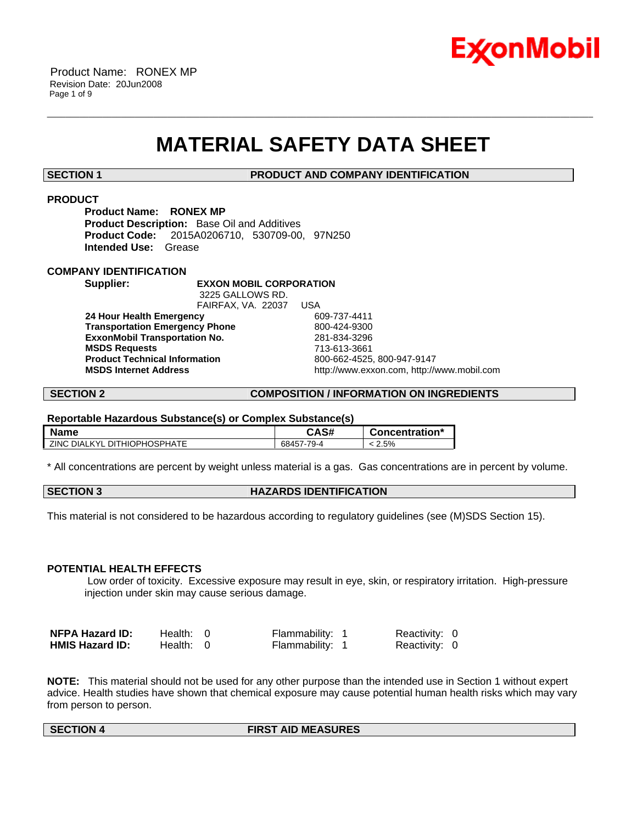

# **MATERIAL SAFETY DATA SHEET**

\_\_\_\_\_\_\_\_\_\_\_\_\_\_\_\_\_\_\_\_\_\_\_\_\_\_\_\_\_\_\_\_\_\_\_\_\_\_\_\_\_\_\_\_\_\_\_\_\_\_\_\_\_\_\_\_\_\_\_\_\_\_\_\_\_\_\_\_\_\_\_\_\_\_\_\_\_\_\_\_\_\_\_\_\_\_\_\_\_\_\_\_\_\_\_\_\_\_\_\_\_\_\_\_\_\_\_\_\_\_\_\_\_\_\_\_\_\_

**SECTION 1 PRODUCT AND COMPANY IDENTIFICATION**

### **PRODUCT**

**Product Name: RONEX MP Product Description:** Base Oil and Additives **Product Code:** 2015A0206710, 530709-00, 97N250 **Intended Use:** Grease

### **COMPANY IDENTIFICATION**

**Supplier: EXXON MOBIL CORPORATION**

 3225 GALLOWS RD. FAIRFAX, VA. 22037 USA  **24 Hour Health Emergency** 609-737-4411 **Transportation Emergency Phone** 800-424-9300  **ExxonMobil Transportation No.** 281-834-3296  **MSDS Requests** 713-613-3661  **Product Technical Information** 800-662-4525, 800-947-9147

 **MSDS Internet Address** http://www.exxon.com, http://www.mobil.com

#### **SECTION 2 COMPOSITION / INFORMATION ON INGREDIENTS**

#### **Reportable Hazardous Substance(s) or Complex Substance(s)**

| <b>Name</b>                              | CAS#       | Concentration* |
|------------------------------------------|------------|----------------|
| . DITHIOPHOSPHATE<br><b>ZINC DIALKYL</b> | 68457-79-4 | 2.5%           |

\* All concentrations are percent by weight unless material is a gas. Gas concentrations are in percent by volume.

| <b>SECTION 3</b> | <b>HAZARDS IDENTIFICATION</b> |
|------------------|-------------------------------|
|------------------|-------------------------------|

This material is not considered to be hazardous according to regulatory guidelines (see (M)SDS Section 15).

#### **POTENTIAL HEALTH EFFECTS**

 Low order of toxicity. Excessive exposure may result in eye, skin, or respiratory irritation. High-pressure injection under skin may cause serious damage.

| <b>NFPA Hazard ID:</b> | Health: $0$ | Flammability: 1 | Reactivity: 0 |  |
|------------------------|-------------|-----------------|---------------|--|
| <b>HMIS Hazard ID:</b> | Health: 0   | Flammability: 1 | Reactivity: 0 |  |

**NOTE:** This material should not be used for any other purpose than the intended use in Section 1 without expert advice. Health studies have shown that chemical exposure may cause potential human health risks which may vary from person to person.

#### **SECTION 4 FIRST AID MEASURES**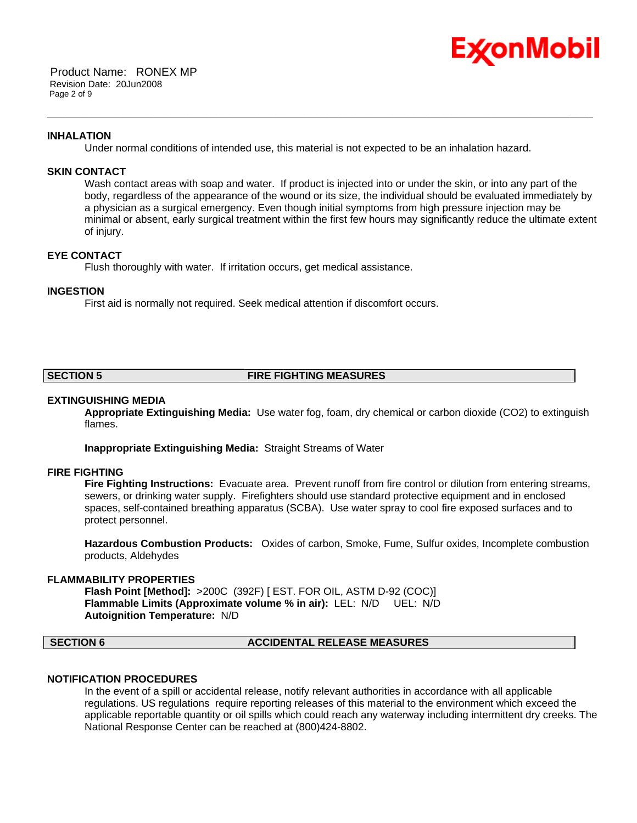

#### **INHALATION**

Under normal conditions of intended use, this material is not expected to be an inhalation hazard.

\_\_\_\_\_\_\_\_\_\_\_\_\_\_\_\_\_\_\_\_\_\_\_\_\_\_\_\_\_\_\_\_\_\_\_\_\_\_\_\_\_\_\_\_\_\_\_\_\_\_\_\_\_\_\_\_\_\_\_\_\_\_\_\_\_\_\_\_\_\_\_\_\_\_\_\_\_\_\_\_\_\_\_\_\_\_\_\_\_\_\_\_\_\_\_\_\_\_\_\_\_\_\_\_\_\_\_\_\_\_\_\_\_\_\_\_\_\_

#### **SKIN CONTACT**

Wash contact areas with soap and water. If product is injected into or under the skin, or into any part of the body, regardless of the appearance of the wound or its size, the individual should be evaluated immediately by a physician as a surgical emergency. Even though initial symptoms from high pressure injection may be minimal or absent, early surgical treatment within the first few hours may significantly reduce the ultimate extent of injury.

#### **EYE CONTACT**

Flush thoroughly with water. If irritation occurs, get medical assistance.

#### **INGESTION**

First aid is normally not required. Seek medical attention if discomfort occurs.

#### **SECTION 5 FIRE FIGHTING MEASURES**

#### **EXTINGUISHING MEDIA**

**Appropriate Extinguishing Media:** Use water fog, foam, dry chemical or carbon dioxide (CO2) to extinguish flames.

**Inappropriate Extinguishing Media:** Straight Streams of Water

#### **FIRE FIGHTING**

**Fire Fighting Instructions:** Evacuate area. Prevent runoff from fire control or dilution from entering streams, sewers, or drinking water supply. Firefighters should use standard protective equipment and in enclosed spaces, self-contained breathing apparatus (SCBA). Use water spray to cool fire exposed surfaces and to protect personnel.

**Hazardous Combustion Products:** Oxides of carbon, Smoke, Fume, Sulfur oxides, Incomplete combustion products, Aldehydes

#### **FLAMMABILITY PROPERTIES**

**Flash Point [Method]:** >200C (392F) [ EST. FOR OIL, ASTM D-92 (COC)] **Flammable Limits (Approximate volume % in air):** LEL: N/D UEL: N/D **Autoignition Temperature:** N/D

#### **SECTION 6 ACCIDENTAL RELEASE MEASURES**

#### **NOTIFICATION PROCEDURES**

In the event of a spill or accidental release, notify relevant authorities in accordance with all applicable regulations. US regulations require reporting releases of this material to the environment which exceed the applicable reportable quantity or oil spills which could reach any waterway including intermittent dry creeks. The National Response Center can be reached at (800)424-8802.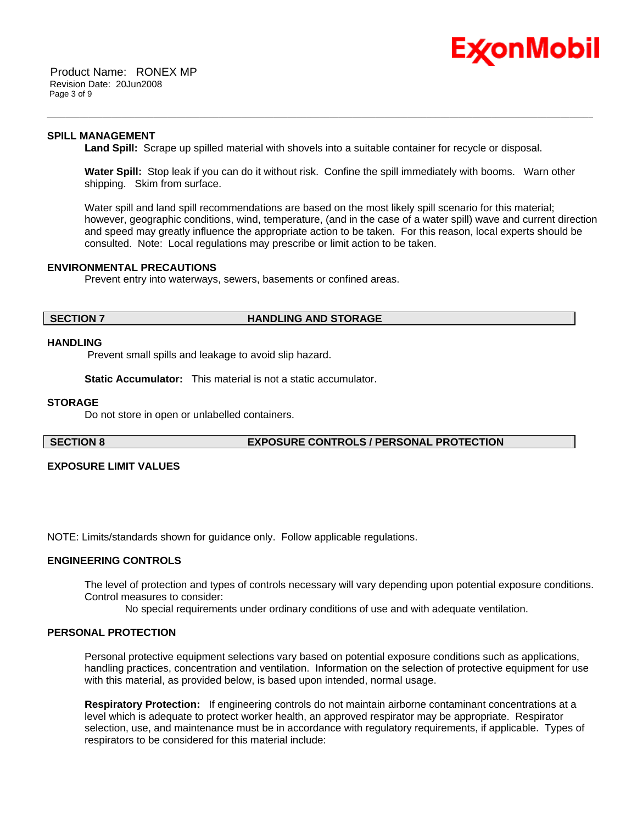

 Product Name: RONEX MP Revision Date: 20Jun2008 Page 3 of 9

#### **SPILL MANAGEMENT**

**Land Spill:** Scrape up spilled material with shovels into a suitable container for recycle or disposal.

\_\_\_\_\_\_\_\_\_\_\_\_\_\_\_\_\_\_\_\_\_\_\_\_\_\_\_\_\_\_\_\_\_\_\_\_\_\_\_\_\_\_\_\_\_\_\_\_\_\_\_\_\_\_\_\_\_\_\_\_\_\_\_\_\_\_\_\_\_\_\_\_\_\_\_\_\_\_\_\_\_\_\_\_\_\_\_\_\_\_\_\_\_\_\_\_\_\_\_\_\_\_\_\_\_\_\_\_\_\_\_\_\_\_\_\_\_\_

**Water Spill:** Stop leak if you can do it without risk. Confine the spill immediately with booms. Warn other shipping. Skim from surface.

Water spill and land spill recommendations are based on the most likely spill scenario for this material; however, geographic conditions, wind, temperature, (and in the case of a water spill) wave and current direction and speed may greatly influence the appropriate action to be taken. For this reason, local experts should be consulted. Note: Local regulations may prescribe or limit action to be taken.

#### **ENVIRONMENTAL PRECAUTIONS**

Prevent entry into waterways, sewers, basements or confined areas.

#### **SECTION 7 HANDLING AND STORAGE**

#### **HANDLING**

Prevent small spills and leakage to avoid slip hazard.

**Static Accumulator:** This material is not a static accumulator.

#### **STORAGE**

Do not store in open or unlabelled containers.

### **SECTION 8 EXPOSURE CONTROLS / PERSONAL PROTECTION**

#### **EXPOSURE LIMIT VALUES**

NOTE: Limits/standards shown for guidance only. Follow applicable regulations.

#### **ENGINEERING CONTROLS**

The level of protection and types of controls necessary will vary depending upon potential exposure conditions. Control measures to consider:

No special requirements under ordinary conditions of use and with adequate ventilation.

### **PERSONAL PROTECTION**

Personal protective equipment selections vary based on potential exposure conditions such as applications, handling practices, concentration and ventilation. Information on the selection of protective equipment for use with this material, as provided below, is based upon intended, normal usage.

**Respiratory Protection:** If engineering controls do not maintain airborne contaminant concentrations at a level which is adequate to protect worker health, an approved respirator may be appropriate. Respirator selection, use, and maintenance must be in accordance with regulatory requirements, if applicable. Types of respirators to be considered for this material include: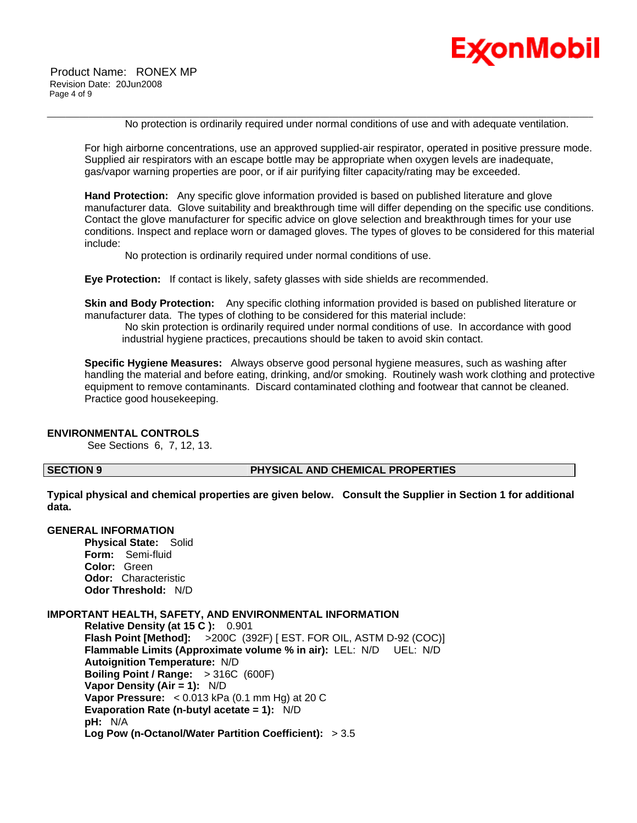

 Product Name: RONEX MP Revision Date: 20Jun2008 Page 4 of 9

No protection is ordinarily required under normal conditions of use and with adequate ventilation.

For high airborne concentrations, use an approved supplied-air respirator, operated in positive pressure mode. Supplied air respirators with an escape bottle may be appropriate when oxygen levels are inadequate, gas/vapor warning properties are poor, or if air purifying filter capacity/rating may be exceeded.

\_\_\_\_\_\_\_\_\_\_\_\_\_\_\_\_\_\_\_\_\_\_\_\_\_\_\_\_\_\_\_\_\_\_\_\_\_\_\_\_\_\_\_\_\_\_\_\_\_\_\_\_\_\_\_\_\_\_\_\_\_\_\_\_\_\_\_\_\_\_\_\_\_\_\_\_\_\_\_\_\_\_\_\_\_\_\_\_\_\_\_\_\_\_\_\_\_\_\_\_\_\_\_\_\_\_\_\_\_\_\_\_\_\_\_\_\_\_

**Hand Protection:** Any specific glove information provided is based on published literature and glove manufacturer data. Glove suitability and breakthrough time will differ depending on the specific use conditions. Contact the glove manufacturer for specific advice on glove selection and breakthrough times for your use conditions. Inspect and replace worn or damaged gloves. The types of gloves to be considered for this material include:

No protection is ordinarily required under normal conditions of use.

**Eye Protection:** If contact is likely, safety glasses with side shields are recommended.

**Skin and Body Protection:** Any specific clothing information provided is based on published literature or manufacturer data. The types of clothing to be considered for this material include:

 No skin protection is ordinarily required under normal conditions of use. In accordance with good industrial hygiene practices, precautions should be taken to avoid skin contact.

**Specific Hygiene Measures:** Always observe good personal hygiene measures, such as washing after handling the material and before eating, drinking, and/or smoking. Routinely wash work clothing and protective equipment to remove contaminants. Discard contaminated clothing and footwear that cannot be cleaned. Practice good housekeeping.

#### **ENVIRONMENTAL CONTROLS**

See Sections 6, 7, 12, 13.

#### **SECTION 9 PHYSICAL AND CHEMICAL PROPERTIES**

**Typical physical and chemical properties are given below. Consult the Supplier in Section 1 for additional data.**

### **GENERAL INFORMATION**

**Physical State:** Solid **Form:** Semi-fluid **Color:** Green **Odor:** Characteristic **Odor Threshold:** N/D

#### **IMPORTANT HEALTH, SAFETY, AND ENVIRONMENTAL INFORMATION**

**Relative Density (at 15 C ):** 0.901 **Flash Point [Method]:** >200C (392F) [ EST. FOR OIL, ASTM D-92 (COC)] **Flammable Limits (Approximate volume % in air):** LEL: N/D UEL: N/D **Autoignition Temperature:** N/D **Boiling Point / Range:** > 316C (600F) **Vapor Density (Air = 1):** N/D **Vapor Pressure:** < 0.013 kPa (0.1 mm Hg) at 20 C **Evaporation Rate (n-butyl acetate = 1):** N/D **pH:** N/A **Log Pow (n-Octanol/Water Partition Coefficient):** > 3.5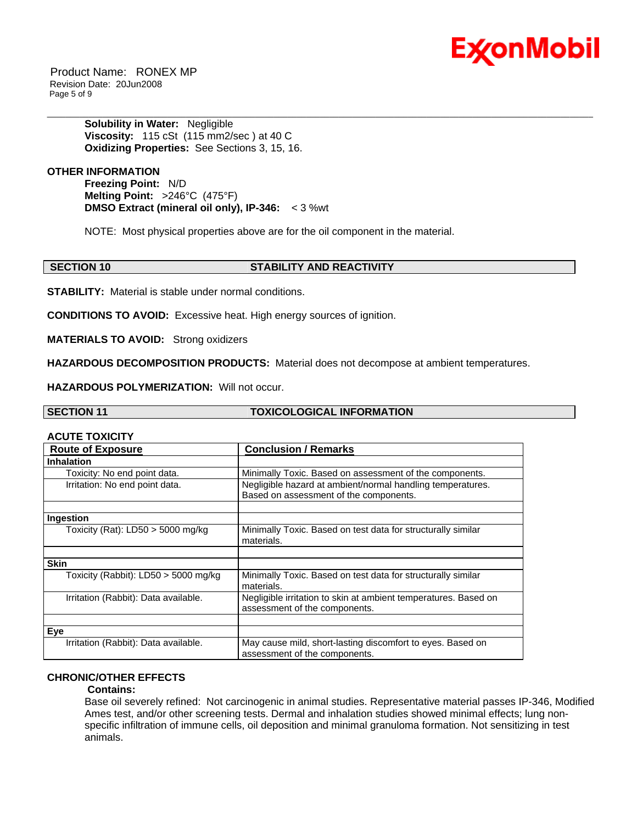

 Product Name: RONEX MP Revision Date: 20Jun2008 Page 5 of 9

> **Solubility in Water:** Negligible **Viscosity:** 115 cSt (115 mm2/sec ) at 40 C **Oxidizing Properties:** See Sections 3, 15, 16.

**OTHER INFORMATION**

**Freezing Point:** N/D **Melting Point:** >246°C (475°F) **DMSO Extract (mineral oil only), IP-346:** < 3 %wt

NOTE: Most physical properties above are for the oil component in the material.

**SECTION 10 STABILITY AND REACTIVITY** 

\_\_\_\_\_\_\_\_\_\_\_\_\_\_\_\_\_\_\_\_\_\_\_\_\_\_\_\_\_\_\_\_\_\_\_\_\_\_\_\_\_\_\_\_\_\_\_\_\_\_\_\_\_\_\_\_\_\_\_\_\_\_\_\_\_\_\_\_\_\_\_\_\_\_\_\_\_\_\_\_\_\_\_\_\_\_\_\_\_\_\_\_\_\_\_\_\_\_\_\_\_\_\_\_\_\_\_\_\_\_\_\_\_\_\_\_\_\_

**STABILITY:** Material is stable under normal conditions.

**CONDITIONS TO AVOID:** Excessive heat. High energy sources of ignition.

**MATERIALS TO AVOID:** Strong oxidizers

**HAZARDOUS DECOMPOSITION PRODUCTS:** Material does not decompose at ambient temperatures.

**HAZARDOUS POLYMERIZATION:** Will not occur.

| <b>SECTION 11</b> | <b>TOXICOLOGICAL INFORMATION</b> |
|-------------------|----------------------------------|
|                   |                                  |

#### **ACUTE TOXICITY**

| <b>Route of Exposure</b>               | <b>Conclusion / Remarks</b>                                                                          |
|----------------------------------------|------------------------------------------------------------------------------------------------------|
| <b>Inhalation</b>                      |                                                                                                      |
| Toxicity: No end point data.           | Minimally Toxic. Based on assessment of the components.                                              |
| Irritation: No end point data.         | Negligible hazard at ambient/normal handling temperatures.<br>Based on assessment of the components. |
|                                        |                                                                                                      |
| Ingestion                              |                                                                                                      |
| Toxicity (Rat): $LD50 > 5000$ mg/kg    | Minimally Toxic. Based on test data for structurally similar<br>materials.                           |
|                                        |                                                                                                      |
| <b>Skin</b>                            |                                                                                                      |
| Toxicity (Rabbit): $LD50 > 5000$ mg/kg | Minimally Toxic. Based on test data for structurally similar<br>materials.                           |
| Irritation (Rabbit): Data available.   | Negligible irritation to skin at ambient temperatures. Based on<br>assessment of the components.     |
|                                        |                                                                                                      |
| Eye                                    |                                                                                                      |
| Irritation (Rabbit): Data available.   | May cause mild, short-lasting discomfort to eyes. Based on<br>assessment of the components.          |

#### **CHRONIC/OTHER EFFECTS**

#### **Contains:**

Base oil severely refined: Not carcinogenic in animal studies. Representative material passes IP-346, Modified Ames test, and/or other screening tests. Dermal and inhalation studies showed minimal effects; lung nonspecific infiltration of immune cells, oil deposition and minimal granuloma formation. Not sensitizing in test animals.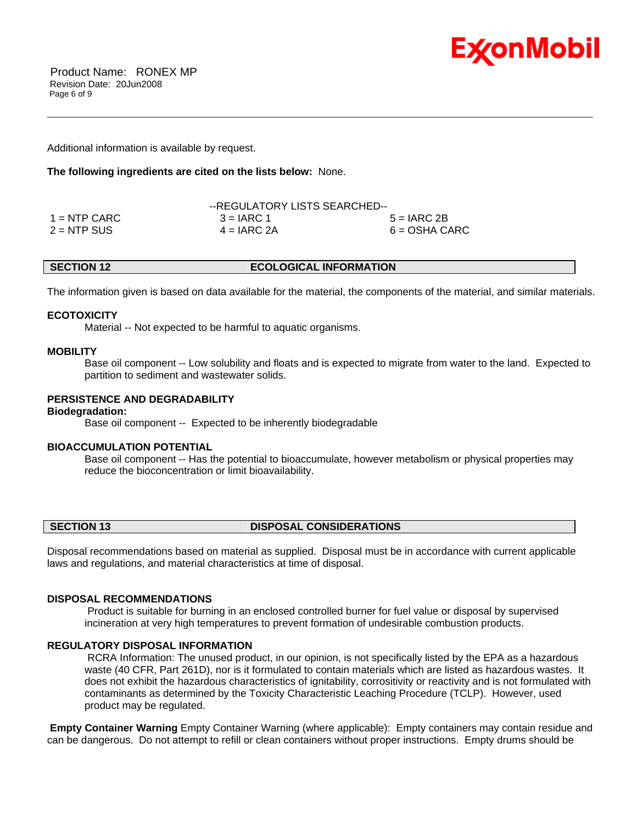

 Product Name: RONEX MP Revision Date: 20Jun2008 Page 6 of 9

Additional information is available by request.

#### **The following ingredients are cited on the lists below:** None.

|                | --REGULATORY LISTS SEARCHED-- |                 |  |
|----------------|-------------------------------|-----------------|--|
| $1 =$ NTP CARC | $3 = IARC 1$                  | $5 = IARC2B$    |  |
| $2 = NTP$ SUS  | $4 = IARC 2A$                 | $6 = OSHA CARC$ |  |

The information given is based on data available for the material, the components of the material, and similar materials.

\_\_\_\_\_\_\_\_\_\_\_\_\_\_\_\_\_\_\_\_\_\_\_\_\_\_\_\_\_\_\_\_\_\_\_\_\_\_\_\_\_\_\_\_\_\_\_\_\_\_\_\_\_\_\_\_\_\_\_\_\_\_\_\_\_\_\_\_\_\_\_\_\_\_\_\_\_\_\_\_\_\_\_\_\_\_\_\_\_\_\_\_\_\_\_\_\_\_\_\_\_\_\_\_\_\_\_\_\_\_\_\_\_\_\_\_\_\_

#### **ECOTOXICITY**

Material -- Not expected to be harmful to aquatic organisms.

#### **MOBILITY**

 Base oil component -- Low solubility and floats and is expected to migrate from water to the land. Expected to partition to sediment and wastewater solids.

#### **PERSISTENCE AND DEGRADABILITY**

### **Biodegradation:**

Base oil component -- Expected to be inherently biodegradable

#### **BIOACCUMULATION POTENTIAL**

 Base oil component -- Has the potential to bioaccumulate, however metabolism or physical properties may reduce the bioconcentration or limit bioavailability.

#### **SECTION 13 DISPOSAL CONSIDERATIONS**

Disposal recommendations based on material as supplied. Disposal must be in accordance with current applicable laws and regulations, and material characteristics at time of disposal.

#### **DISPOSAL RECOMMENDATIONS**

 Product is suitable for burning in an enclosed controlled burner for fuel value or disposal by supervised incineration at very high temperatures to prevent formation of undesirable combustion products.

### **REGULATORY DISPOSAL INFORMATION**

 RCRA Information: The unused product, in our opinion, is not specifically listed by the EPA as a hazardous waste (40 CFR, Part 261D), nor is it formulated to contain materials which are listed as hazardous wastes. It does not exhibit the hazardous characteristics of ignitability, corrositivity or reactivity and is not formulated with contaminants as determined by the Toxicity Characteristic Leaching Procedure (TCLP). However, used product may be regulated.

**Empty Container Warning** Empty Container Warning (where applicable): Empty containers may contain residue and can be dangerous. Do not attempt to refill or clean containers without proper instructions. Empty drums should be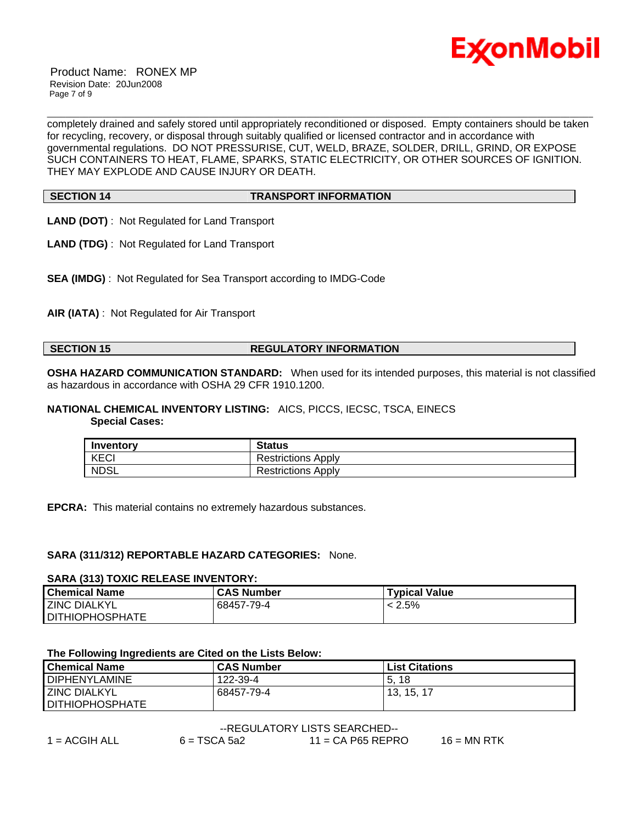

 Product Name: RONEX MP Revision Date: 20Jun2008 Page 7 of 9

completely drained and safely stored until appropriately reconditioned or disposed. Empty containers should be taken for recycling, recovery, or disposal through suitably qualified or licensed contractor and in accordance with governmental regulations. DO NOT PRESSURISE, CUT, WELD, BRAZE, SOLDER, DRILL, GRIND, OR EXPOSE SUCH CONTAINERS TO HEAT, FLAME, SPARKS, STATIC ELECTRICITY, OR OTHER SOURCES OF IGNITION. THEY MAY EXPLODE AND CAUSE INJURY OR DEATH.

\_\_\_\_\_\_\_\_\_\_\_\_\_\_\_\_\_\_\_\_\_\_\_\_\_\_\_\_\_\_\_\_\_\_\_\_\_\_\_\_\_\_\_\_\_\_\_\_\_\_\_\_\_\_\_\_\_\_\_\_\_\_\_\_\_\_\_\_\_\_\_\_\_\_\_\_\_\_\_\_\_\_\_\_\_\_\_\_\_\_\_\_\_\_\_\_\_\_\_\_\_\_\_\_\_\_\_\_\_\_\_\_\_\_\_\_\_\_

**SECTION 14 TRANSPORT INFORMATION** 

- **LAND (DOT)** : Not Regulated for Land Transport
- **LAND (TDG)** : Not Regulated for Land Transport
- **SEA (IMDG)** : Not Regulated for Sea Transport according to IMDG-Code

**AIR (IATA)** : Not Regulated for Air Transport

### **SECTION 15 REGULATORY INFORMATION**

**OSHA HAZARD COMMUNICATION STANDARD:** When used for its intended purposes, this material is not classified as hazardous in accordance with OSHA 29 CFR 1910.1200.

## **NATIONAL CHEMICAL INVENTORY LISTING:** AICS, PICCS, IECSC, TSCA, EINECS

 **Special Cases:**

| Inventory   | <b>Status</b>             |
|-------------|---------------------------|
| KECI        | <b>Restrictions Apply</b> |
| <b>NDSL</b> | <b>Restrictions Apply</b> |

**EPCRA:** This material contains no extremely hazardous substances.

#### **SARA (311/312) REPORTABLE HAZARD CATEGORIES:** None.

#### **SARA (313) TOXIC RELEASE INVENTORY:**

| l Chemical Name        | <b>CAS Number</b> | <b>Typical Value</b> |
|------------------------|-------------------|----------------------|
| <b>ZINC DIALKYL</b>    | 68457-79-4        | $< 2.5\%$            |
| <b>DITHIOPHOSPHATE</b> |                   |                      |

#### **The Following Ingredients are Cited on the Lists Below:**

| l Chemical Name        | <b>CAS Number</b> | <b>List Citations</b> |
|------------------------|-------------------|-----------------------|
| <b>DIPHENYLAMINE</b>   | 122-39-4          | 18<br>5               |
| <b>LZINC DIALKYL</b>   | 68457-79-4        | 13, 15, 17            |
| <b>DITHIOPHOSPHATE</b> |                   |                       |

| --REGULATORY LISTS SEARCHED-- |                |                     |               |  |
|-------------------------------|----------------|---------------------|---------------|--|
| 1 = $ACGIH ALL$               | $6 = TSCA 5a2$ | $11 = CA$ P65 REPRO | $16 = MN$ RTK |  |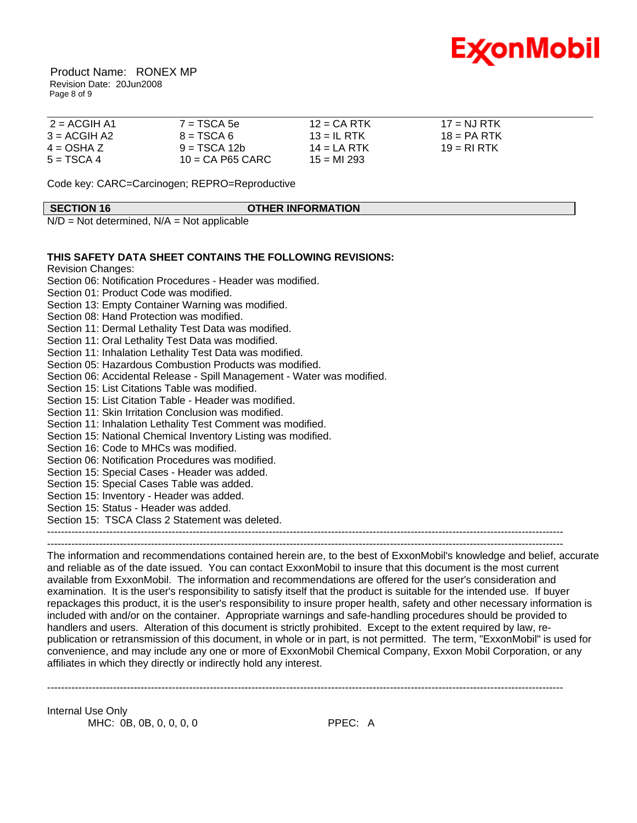

 Product Name: RONEX MP Revision Date: 20Jun2008 Page 8 of 9

| 2 = ACGIH A1   | $7 = TSCA5e$       | $12$ = CA RTK | $17 = NJ RTK$ |  |
|----------------|--------------------|---------------|---------------|--|
| $3 = ACGIH A2$ | $8 = TSCA6$        | $13 = IL$ RTK | $18 = PA$ RTK |  |
| $4 = OSHA Z$   | $9 = TSCA 12b$     | 14 = LA RTK   | $19 = RIRTK$  |  |
| $5 = TSCA 4$   | $10 = CA$ P65 CARC | $15 = M1293$  |               |  |

Code key: CARC=Carcinogen; REPRO=Reproductive

#### **SECTION 16 OTHER INFORMATION**

 $N/D = Not determined$ ,  $N/A = Not applicable$ 

### **THIS SAFETY DATA SHEET CONTAINS THE FOLLOWING REVISIONS:**

Revision Changes:

Section 06: Notification Procedures - Header was modified. Section 01: Product Code was modified. Section 13: Empty Container Warning was modified. Section 08: Hand Protection was modified. Section 11: Dermal Lethality Test Data was modified. Section 11: Oral Lethality Test Data was modified. Section 11: Inhalation Lethality Test Data was modified. Section 05: Hazardous Combustion Products was modified. Section 06: Accidental Release - Spill Management - Water was modified. Section 15: List Citations Table was modified. Section 15: List Citation Table - Header was modified. Section 11: Skin Irritation Conclusion was modified. Section 11: Inhalation Lethality Test Comment was modified. Section 15: National Chemical Inventory Listing was modified. Section 16: Code to MHCs was modified. Section 06: Notification Procedures was modified. Section 15: Special Cases - Header was added. Section 15: Special Cases Table was added. Section 15: Inventory - Header was added. Section 15: Status - Header was added. Section 15: TSCA Class 2 Statement was deleted. ----------------------------------------------------------------------------------------------------------------------------------------------------- ----------------------------------------------------------------------------------------------------------------------------------------------------- The information and recommendations contained herein are, to the best of ExxonMobil's knowledge and belief, accurate

and reliable as of the date issued. You can contact ExxonMobil to insure that this document is the most current available from ExxonMobil. The information and recommendations are offered for the user's consideration and examination. It is the user's responsibility to satisfy itself that the product is suitable for the intended use. If buyer repackages this product, it is the user's responsibility to insure proper health, safety and other necessary information is included with and/or on the container. Appropriate warnings and safe-handling procedures should be provided to handlers and users. Alteration of this document is strictly prohibited. Except to the extent required by law, republication or retransmission of this document, in whole or in part, is not permitted. The term, "ExxonMobil" is used for convenience, and may include any one or more of ExxonMobil Chemical Company, Exxon Mobil Corporation, or any affiliates in which they directly or indirectly hold any interest.

-----------------------------------------------------------------------------------------------------------------------------------------------------

Internal Use Only MHC: 0B, 0B, 0, 0, 0, 0